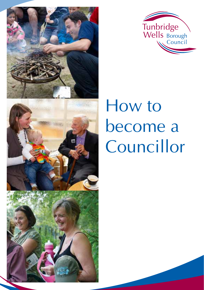



# How to become a Councillor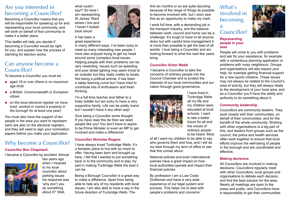## Are you interested in becoming a Councillor?

Becoming a Councillor means that you will be responsible for speaking up for and representing your local community, and will work on behalf of that community to make it a better place.

This leaflet will help you decide if becoming a Councillor would be right for you, and explain how the process of standing for election works.

## Can anyone become a Councillor?

To become a Councillor you must be:

- *aged 18 or over (there is no maximum age limit)*
- *a British, Commonwealth or European citizen*
- *on the local electoral register (or have lived, worked or owned a property in the borough for at least one year).*

You must also have the support of ten people in the area you want to represent (who are also on the electoral register), and they will need to sign your nomination papers before you make your application.

# Why become a Councillor?

#### **Councillor Ben Chapelard:**

I became a Councillor by accident. Almost



two years ago when I moaned to my local councillor about parking issues his response was 'why don't you do something about it?' Well,



great experience

back since!

in many different ways. I've been lucky to meet so many interesting new people. I have also enjoyed trying to get my head around some (complex) local issues. Helping people with their problems can be very rewarding. Issues such as speeding and poor street lighting may seem trivial to an outsider but they really matter to locals. Not being a political animal, it has been a steep learning curve but I have tried to contribute lots of enthusiasm and fresh thinking.

I'm a full-time teacher and father to a lively toddler but am lucky to have a very supportive family. Life can be pretty manic but I wouldn't have it any other way!

Give being a Councillor some thought. If you have read this far then we need people like you! You don't have to aspire to be Prime Minister or even an MP to get involved and make a difference!

#### **Councillor Nicholas Rogers:**

I have always loved Tunbridge Wells. It's a fantastic place to live with so much to offer. Having been born and brought up here, I felt that I wanted to put something back in to the community and to play my part in making Tunbridge Wells the best it can be.

Being a Borough Councillor is a great way to make a difference. Apart from being able to help any of my residents with local issues, I am also able to have a say in the future direction of Tunbridge Wells. The

first six months or so are quite daunting because of the range of things its possible to become involved with, but I soon saw this as an opportunity to make my mark.

I work full time, with a demanding job in the transport industry, and the balance between work, council and home can be a challenge. It's tough to have to let anyone down but with careful time management it is more than possible to get the best of all worlds. I love being a Councillor and am looking forward to what the next few years bring.

#### **Councillor Victor Webb**

'I became a Councillor to take the concerns of ordinary people into the Council Chamber and to protect the interests of our local communities and our nation through good governance.



I have lived in Tunbridge Wells all my life and my children were educated at local schools. I want to see a better future for all and the voices of ordinary people to be heard. Most

of all I want my children to be able to say who governs them and how, and I will do my best through my term of office to see that this comes about.

National policies and even international policies have a great impact on how local authorities operate and impact their financial policies.

By profession I am a Law Costs Draftsman and have a very wide experience of our legal system and process. This helps me to deal with people's problems and concerns.'

What's involved in becoming a Councillor?

#### **Representing people in your area**



People will come to you with problems and ask for your assistance, for example with a contentious planning application or problems with noisy neighbours. Groups and organisations will also expect your help, for example getting financial support for a new sports initiative. These issues may not always be related to the Council's area of activity, but they will always relate to the development of your local area, and as a Councillor you'll have the ability and authority to do something about it.

#### **Community leadership**

Councillors are community leaders. They work closely with their communities, on behalf of their communities, and for the benefit of the whole community. Working with other organisations is a big part of this, and leaders from groups such as the council, the police and health services often work together to ensure that local efforts improve the well-being of people in the borough and are coordinated and effective.

#### **Making decisions**

All Councillors are involved in making decisions. Councillors regularly meet with other Councillors, local groups and organisations to debate each decision, and find the best solution for the area. Nearly all meetings are open to the press and public, and Councillors have a responsibility to get their communities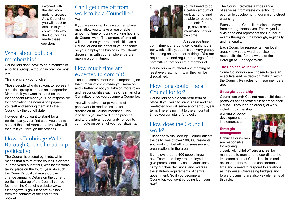

involved with the decisionmaking process. As a Councillor, you will need to explain to your community why the Council has made these decisions.

## What about political membership?

Councillors don't have to be a member of a political group, although in practice most are.

This is entirely your choice.

Those people who don't want to represent a political group stand as an 'independent Member'. If you want to stand as an Independent Member you'll be responsible for completing the nomination papers yourself and sending them in to the Council by the cut off date.

However, if you want to stand for a political party, your first step would be to contact the local representative, who will then talk you through the process.

## How is Tunbridge Wells Borough Council made up politically?

The Council is elected by thirds, which means that a third of the council is elected in three years out of four, with no elections taking place on the fourth year. As such, the Council's political make-up can change annually. Details on the current political make-up of the Council can be found on the Council's website www. tunbridgewells.gov.uk or are available from the contacts at the end of this booklet.

### Can I get time off from work to be a Councillor? Yes.

If you are working, by law your employer must allow you to take a reasonable amount of time off during working hours to do Council work. The amount of time off will depend on your responsibilities as a Councillor and the effect of your absence on your employer's business. You should discuss this with your employer before making a commitment.

## How much time am I expected to commit?

The time commitment varies depending on the number of committees you serve on, and whether or not you take on more roles and responsibilities such as Chairman of a Committee once you become a Councillor.

You will receive a large volume of paperwork to read on issues for discussion at Council meetings. This is to keep you involved in the process and to provide an opportunity for you to contribute on behalf of your constituents.





You will need to do a certain amount of work at home, and be able to respond to requests for help, advice and information in your own time.

An average time

commitment of around six to eight hours per week is likely, but this can vary greatly depending on a number of things. You are required to attend regular meetings of the committees that you are a member of.

Councillors must attend one meeting at least every six months, or they will be disqualified.

## How long could I be a Councillor for?

Councillors serve a four-year term of office. If you wish to stand again and get re-elected you will serve another four-year term. There is no limit to the amount of times you can stand for election.

## How does the Council work?

Tunbridge Wells Borough Council affects the daily lives of over 100,000 residents and works on behalf of businesses and organisations in the area.

It employs around 400 people known as officers, and they are employed to give professional advice to Councillors, carry out their decisions, and oversee the statutory requirements of central government. So if you become a Councillor, you wont be doing it on your own!

The Council provides a wide range of services, from waste collection to economic development, tourism and street cleansing.

Each year the Councillors elect a Mayor from among themselves. The Mayor is the civic head and represents the Council at events throughout the borough, regionally and nationally.

Each Councillor represents their local area, known as a ward, but also has responsibilities for the whole of the Borough of Tunbridge Wells.

#### **The Cabinet Councillor**

Some Councillors are chosen to take an executive lead on decision making within the Council. Key roles for these members are:

#### **Strategic leadership**

Councillors with Cabinet responsibilities or portfolios act as strategic leaders for their Council. They lead an area(s) of work, including partnership

working or policy development and implementation.

#### **Strategic management**

Cabinet Councillors are responsible for working



closely with chief officers and senior managers to monitor and coordinate the implementation of Council policies and decisions. This requires considerable time and a need to respond to situations as they arise. Overseeing budgets and forward planning are also key elements of this role.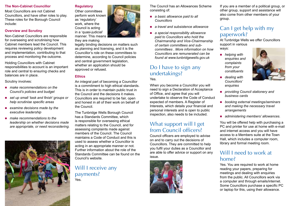#### **The Non-Cabinet Councillor**

Most Councillors are not Cabinet Councillors, and have other roles to play. These roles for the Borough Council include:

#### **Overview and Scrutiny**

Non-Cabinet Councillors are responsible for overseeing and scrutinising how Cabinet members lead the Council. This requires reviewing policy development and implementation, contributing to that process and monitoring the outcome.

Holding Councillors with Cabinet responsibilities to account is an important role and central to ensuring checks and balances are in place.

Scrutiny involves:

- *make recommendations on the Council's policies and budget*
- *set up small 'task and finish' groups or help scrutinise specific areas*
- *examine decisions made by the executive leadership*
- *make recommendations to the leadership on whether decisions made are appropriate, or need reconsidering.*



#### **Regulatory**



#### they are making

legally binding decisions on matters such as planning and licensing, and it is the Councillor's role on these committees to determine, according to Council policies and central government legislation, whether an application should be approved or refused.

#### **Ethics**

An integral part of becoming a Councillor is a commitment to high ethical standards. This is in order to maintain public trust in the Council and the decisions it makes. Councillors are required to be fair, open and honest in all of their work on behalf of the Council.

The Tunbridge Wells Borough Council has a Standards Committee, which is responsible for overseeing ethical matters relating to the Council, and for assessing complaints made against members of the Council. The Council maintains a Code of Conduct and this is used to assess whether a Councillor is acting in an appropriate manner or not. Further information about the role of the Standards Committee can be found on the Council's website.

Will I receive any payments? Yes.

The Council has an Allowances Scheme consisting of:

- *a basic allowance paid to all Councillors*
- *a travel and subsistence allowance*
- *a special responsibility allowance paid to Councillors who hold the Chairmanship and Vice-Chairmanship of certain committees and subcommittees . More information on how Councillors are remunerated can be found at www.tunbridgewells.gov.uk*

## Do I have to sign any undertakings?

Yes.

When you become a Councillor you will need to sign a Declaration of Acceptance of Office, and agree that you will undertake to observe the Code of Conduct expected of members. A Register of Interests, which details your financial and personal interests and is open to public inspection, also needs to be included.

## What support will I get from Council officers?

Council officers are employed to advise on and to carry out the decisions of Councillors. They are committed to help you fulfil your duties as a Councillor and are able to offer advice or support on any issue.



If you are a member of a political group, or other group, support and assistance will also come from other members of your group.

## Can I get help with my paperwork?

At Tunbridge Wells we offer Councillors support in various ways:

- *helping with enquiries and complaints from your constituents* 
	- dealing with *Councillors' enquiries*
- *providing Council stationery and business cards*
- *booking external meetings/seminars and making the necessary travel arrangements*
- *administering members' allowances.*

You will be offered help with purchasing a PC and printer for use at home with e-mail and internet access and you will have access to a Members suite at the Town Hall, which includes a computer room, library and formal meeting room.

## Will I need to work at home?

Yes. You are required to work at home reading your papers, preparing for meetings and dealing with enquiries from the public. All Councillors work via a computer and through emails/internet. Some Councillors purchase a specific PC or laptop for this, using their allowance.